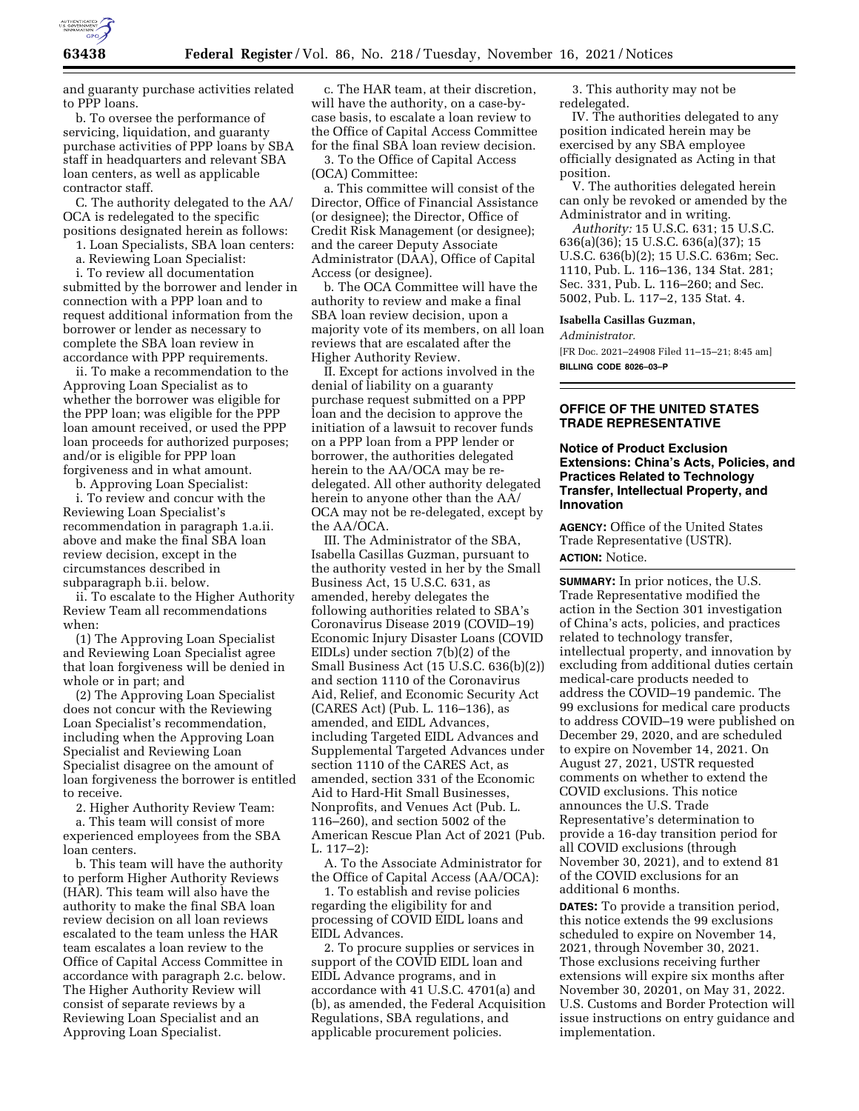

and guaranty purchase activities related to PPP loans.

b. To oversee the performance of servicing, liquidation, and guaranty purchase activities of PPP loans by SBA staff in headquarters and relevant SBA loan centers, as well as applicable contractor staff.

C. The authority delegated to the AA/ OCA is redelegated to the specific positions designated herein as follows:

1. Loan Specialists, SBA loan centers:

a. Reviewing Loan Specialist:

i. To review all documentation submitted by the borrower and lender in connection with a PPP loan and to request additional information from the borrower or lender as necessary to complete the SBA loan review in accordance with PPP requirements.

ii. To make a recommendation to the Approving Loan Specialist as to whether the borrower was eligible for the PPP loan; was eligible for the PPP loan amount received, or used the PPP loan proceeds for authorized purposes; and/or is eligible for PPP loan forgiveness and in what amount.

b. Approving Loan Specialist:

i. To review and concur with the Reviewing Loan Specialist's recommendation in paragraph 1.a.ii. above and make the final SBA loan review decision, except in the circumstances described in subparagraph b.ii. below.

ii. To escalate to the Higher Authority Review Team all recommendations when:

(1) The Approving Loan Specialist and Reviewing Loan Specialist agree that loan forgiveness will be denied in whole or in part; and

(2) The Approving Loan Specialist does not concur with the Reviewing Loan Specialist's recommendation, including when the Approving Loan Specialist and Reviewing Loan Specialist disagree on the amount of loan forgiveness the borrower is entitled to receive.

2. Higher Authority Review Team:

a. This team will consist of more experienced employees from the SBA loan centers.

b. This team will have the authority to perform Higher Authority Reviews (HAR). This team will also have the authority to make the final SBA loan review decision on all loan reviews escalated to the team unless the HAR team escalates a loan review to the Office of Capital Access Committee in accordance with paragraph 2.c. below. The Higher Authority Review will consist of separate reviews by a Reviewing Loan Specialist and an Approving Loan Specialist.

c. The HAR team, at their discretion, will have the authority, on a case-bycase basis, to escalate a loan review to the Office of Capital Access Committee for the final SBA loan review decision.

3. To the Office of Capital Access (OCA) Committee:

a. This committee will consist of the Director, Office of Financial Assistance (or designee); the Director, Office of Credit Risk Management (or designee); and the career Deputy Associate Administrator (DAA), Office of Capital Access (or designee).

b. The OCA Committee will have the authority to review and make a final SBA loan review decision, upon a majority vote of its members, on all loan reviews that are escalated after the Higher Authority Review.

II. Except for actions involved in the denial of liability on a guaranty purchase request submitted on a PPP loan and the decision to approve the initiation of a lawsuit to recover funds on a PPP loan from a PPP lender or borrower, the authorities delegated herein to the AA/OCA may be redelegated. All other authority delegated herein to anyone other than the AA/ OCA may not be re-delegated, except by the AA/OCA.

III. The Administrator of the SBA, Isabella Casillas Guzman, pursuant to the authority vested in her by the Small Business Act, 15 U.S.C. 631, as amended, hereby delegates the following authorities related to SBA's Coronavirus Disease 2019 (COVID–19) Economic Injury Disaster Loans (COVID EIDLs) under section 7(b)(2) of the Small Business Act (15 U.S.C. 636(b)(2)) and section 1110 of the Coronavirus Aid, Relief, and Economic Security Act (CARES Act) (Pub. L. 116–136), as amended, and EIDL Advances, including Targeted EIDL Advances and Supplemental Targeted Advances under section 1110 of the CARES Act, as amended, section 331 of the Economic Aid to Hard-Hit Small Businesses, Nonprofits, and Venues Act (Pub. L. 116–260), and section 5002 of the American Rescue Plan Act of 2021 (Pub.  $L. 117 - 2$ :

A. To the Associate Administrator for the Office of Capital Access (AA/OCA):

1. To establish and revise policies regarding the eligibility for and processing of COVID EIDL loans and EIDL Advances.

2. To procure supplies or services in support of the COVID EIDL loan and EIDL Advance programs, and in accordance with 41 U.S.C. 4701(a) and (b), as amended, the Federal Acquisition Regulations, SBA regulations, and applicable procurement policies.

3. This authority may not be redelegated.

IV. The authorities delegated to any position indicated herein may be exercised by any SBA employee officially designated as Acting in that position.

V. The authorities delegated herein can only be revoked or amended by the Administrator and in writing.

*Authority:* 15 U.S.C. 631; 15 U.S.C. 636(a)(36); 15 U.S.C. 636(a)(37); 15 U.S.C. 636(b)(2); 15 U.S.C. 636m; Sec. 1110, Pub. L. 116–136, 134 Stat. 281; Sec. 331, Pub. L. 116–260; and Sec. 5002, Pub. L. 117–2, 135 Stat. 4.

#### **Isabella Casillas Guzman,**

*Administrator.* 

[FR Doc. 2021–24908 Filed 11–15–21; 8:45 am] **BILLING CODE 8026–03–P** 

## **OFFICE OF THE UNITED STATES TRADE REPRESENTATIVE**

### **Notice of Product Exclusion Extensions: China's Acts, Policies, and Practices Related to Technology Transfer, Intellectual Property, and Innovation**

**AGENCY:** Office of the United States Trade Representative (USTR). **ACTION:** Notice.

**SUMMARY:** In prior notices, the U.S. Trade Representative modified the action in the Section 301 investigation of China's acts, policies, and practices related to technology transfer, intellectual property, and innovation by excluding from additional duties certain medical-care products needed to address the COVID–19 pandemic. The 99 exclusions for medical care products to address COVID–19 were published on December 29, 2020, and are scheduled to expire on November 14, 2021. On August 27, 2021, USTR requested comments on whether to extend the COVID exclusions. This notice announces the U.S. Trade Representative's determination to provide a 16-day transition period for all COVID exclusions (through November 30, 2021), and to extend 81 of the COVID exclusions for an additional 6 months.

**DATES:** To provide a transition period, this notice extends the 99 exclusions scheduled to expire on November 14, 2021, through November 30, 2021. Those exclusions receiving further extensions will expire six months after November 30, 20201, on May 31, 2022. U.S. Customs and Border Protection will issue instructions on entry guidance and implementation.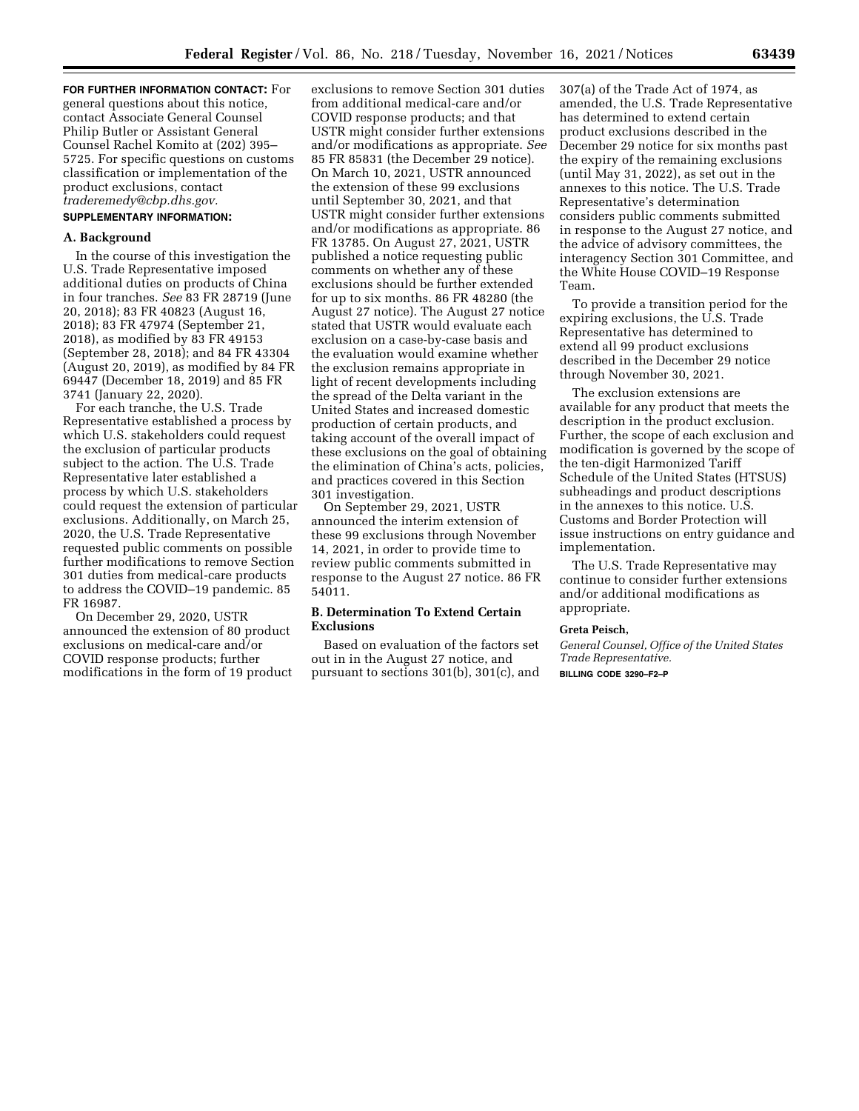**FOR FURTHER INFORMATION CONTACT:** For general questions about this notice, contact Associate General Counsel Philip Butler or Assistant General Counsel Rachel Komito at (202) 395– 5725. For specific questions on customs classification or implementation of the product exclusions, contact *[traderemedy@cbp.dhs.gov.](mailto:traderemedy@cbp.dhs.gov)* 

## **SUPPLEMENTARY INFORMATION:**

### **A. Background**

In the course of this investigation the U.S. Trade Representative imposed additional duties on products of China in four tranches. *See* 83 FR 28719 (June 20, 2018); 83 FR 40823 (August 16, 2018); 83 FR 47974 (September 21, 2018), as modified by 83 FR 49153 (September 28, 2018); and 84 FR 43304 (August 20, 2019), as modified by 84 FR 69447 (December 18, 2019) and 85 FR 3741 (January 22, 2020).

For each tranche, the U.S. Trade Representative established a process by which U.S. stakeholders could request the exclusion of particular products subject to the action. The U.S. Trade Representative later established a process by which U.S. stakeholders could request the extension of particular exclusions. Additionally, on March 25, 2020, the U.S. Trade Representative requested public comments on possible further modifications to remove Section 301 duties from medical-care products to address the COVID–19 pandemic. 85 FR 16987.

On December 29, 2020, USTR announced the extension of 80 product exclusions on medical-care and/or COVID response products; further modifications in the form of 19 product

exclusions to remove Section 301 duties from additional medical-care and/or COVID response products; and that USTR might consider further extensions and/or modifications as appropriate. *See*  85 FR 85831 (the December 29 notice). On March 10, 2021, USTR announced the extension of these 99 exclusions until September 30, 2021, and that USTR might consider further extensions and/or modifications as appropriate. 86 FR 13785. On August 27, 2021, USTR published a notice requesting public comments on whether any of these exclusions should be further extended for up to six months. 86 FR 48280 (the August 27 notice). The August 27 notice stated that USTR would evaluate each exclusion on a case-by-case basis and the evaluation would examine whether the exclusion remains appropriate in light of recent developments including the spread of the Delta variant in the United States and increased domestic production of certain products, and taking account of the overall impact of these exclusions on the goal of obtaining the elimination of China's acts, policies, and practices covered in this Section 301 investigation.

On September 29, 2021, USTR announced the interim extension of these 99 exclusions through November 14, 2021, in order to provide time to review public comments submitted in response to the August 27 notice. 86 FR 54011.

### **B. Determination To Extend Certain Exclusions**

Based on evaluation of the factors set out in in the August 27 notice, and pursuant to sections 301(b), 301(c), and

307(a) of the Trade Act of 1974, as amended, the U.S. Trade Representative has determined to extend certain product exclusions described in the December 29 notice for six months past the expiry of the remaining exclusions (until May 31, 2022), as set out in the annexes to this notice. The U.S. Trade Representative's determination considers public comments submitted in response to the August 27 notice, and the advice of advisory committees, the interagency Section 301 Committee, and the White House COVID–19 Response Team.

To provide a transition period for the expiring exclusions, the U.S. Trade Representative has determined to extend all 99 product exclusions described in the December 29 notice through November 30, 2021.

The exclusion extensions are available for any product that meets the description in the product exclusion. Further, the scope of each exclusion and modification is governed by the scope of the ten-digit Harmonized Tariff Schedule of the United States (HTSUS) subheadings and product descriptions in the annexes to this notice. U.S. Customs and Border Protection will issue instructions on entry guidance and implementation.

The U.S. Trade Representative may continue to consider further extensions and/or additional modifications as appropriate.

#### **Greta Peisch,**

*General Counsel, Office of the United States Trade Representative.*  **BILLING CODE 3290–F2–P**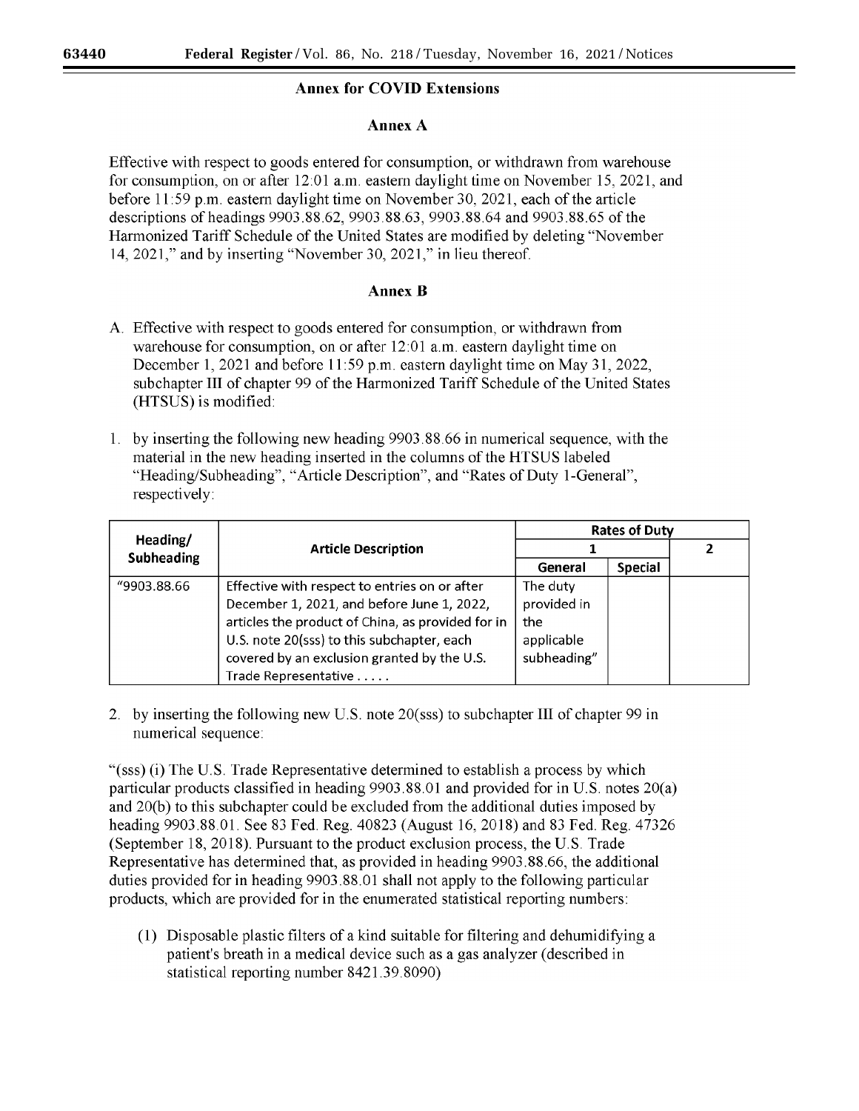# **Annex for COVID Extensions**

# **Annex A**

Effective with respect to goods entered for consumption, or withdrawn from warehouse for consumption, on or after 12:01 a.m. eastern daylight time on November 15, 2021, and before 11 :59 p.m. eastern daylight time on November 30, 2021, each of the article descriptions of headings 9903.88.62, 9903.88.63, 9903.88.64 and 9903.88.65 of the Harmonized Tariff Schedule of the United States are modified by deleting "November 14, 2021," and by inserting "November 30, 2021," in lieu thereof.

# **Annex B**

- A. Effective with respect to goods entered for consumption, or withdrawn from warehouse for consumption, on or after 12:01 a.m. eastern daylight time on December 1, 2021 and before 11 :59 p.m. eastern daylight time on May 31, 2022, sub chapter III of chapter 99 of the Harmonized Tariff Schedule of the United States (HTSUS) is modified:
- 1. by inserting the following new heading 9903.88.66 in numerical sequence, with the material in the new heading inserted in the columns of the HT SUS labeled "Heading/Subheading", "Article Description", and "Rates of Duty I-General", respectively:

|                               | <b>Article Description</b>                        | <b>Rates of Duty</b> |                |  |
|-------------------------------|---------------------------------------------------|----------------------|----------------|--|
| Heading/<br><b>Subheading</b> |                                                   |                      |                |  |
|                               |                                                   | General              | <b>Special</b> |  |
| "9903.88.66                   | Effective with respect to entries on or after     | The duty             |                |  |
|                               | December 1, 2021, and before June 1, 2022,        | provided in          |                |  |
|                               | articles the product of China, as provided for in | the                  |                |  |
|                               | U.S. note 20(sss) to this subchapter, each        | applicable           |                |  |
|                               | covered by an exclusion granted by the U.S.       | subheading"          |                |  |
|                               | Trade Representative                              |                      |                |  |

2. by inserting the following new U.S. note 20(sss) to subchapter III of chapter 99 in numerical sequence:

"(sss) (i) The U.S. Trade Representative determined to establish a process by which particular products classified in heading 9903.88.01 and provided for in U.S. notes 20(a) and 20(b) to this subchapter could be excluded from the additional duties imposed by heading 9903.88.01. See 83 Fed. Reg. 40823 (August 16, 2018) and 83 Fed. Reg. 47326 (September 18, 2018). Pursuant to the product exclusion process, the U.S. Trade Representative has determined that, as provided in heading 9903.88.66, the additional duties provided for in heading 9903.88.01 shall not apply to the following particular products, which are provided for in the enumerated statistical reporting numbers:

(1) Disposable plastic filters of a kind suitable for filtering and dehumidifying a patient's breath in a medical device such as a gas analyzer ( described in statistical reporting number 8421.39.8090)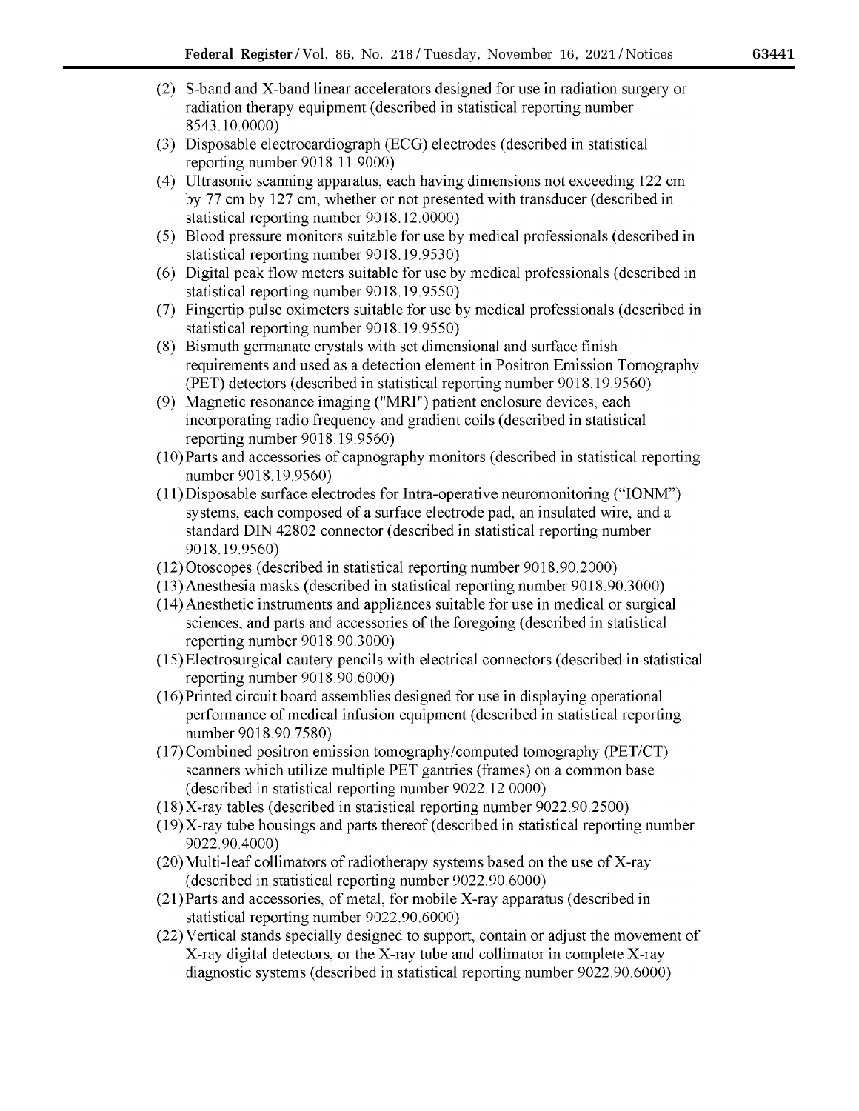- (2) S-band and X-band linear accelerators designed for use in radiation surgery or radiation therapy equipment (described in statistical reporting number 8543.10.0000)
- (3) Disposable electrocardiograph (ECG) electrodes (described in statistical reporting number 9018.11.9000)
- (4) Ultrasonic scanning apparatus, each having dimensions not exceeding 122 cm by 77 cm by 127 cm, whether or not presented with transducer (described in statistical reporting number 9018.12.0000)
- (5) Blood pressure monitors suitable for use by medical professionals (described in statistical reporting number 9018.19.9530)
- (6) Digital peak flow meters suitable for use by medical professionals (described in statistical reporting number 9018.19.9550)
- (7) Fingertip pulse oximeters suitable for use by medical professionals ( described in statistical reporting number 9018.19.9550)
- $(8)$  Bismuth germanate crystals with set dimensional and surface finish requirements and used as a detection element in Positron Emission Tomography (PET) detectors (described in statistical reporting number 9018.19.9560)
- (9) Magnetic resonance imaging ("MRI") patient enclosure devices, each incorporating radio frequency and gradient coils ( described in statistical reporting number 9018.19.9560)
- (l0)Parts and accessories of capnography monitors (described in statistical reporting number 9018.19.9560)
- $(11)$ Disposable surface electrodes for Intra-operative neuromonitoring ("IONM") systems, each composed of a surface electrode pad, an insulated wire, and a standard DIN 42802 connector ( described in statistical reporting number 9018.19.9560)
- (12)Otoscopes (described in statistical reporting number 9018.90.2000)
- (13)Anesthesia masks (described in statistical reporting number 9018.90.3000)
- (14) Anesthetic instruments and appliances suitable for use in medical or surgical sciences, and parts and accessories of the foregoing (described in statistical reporting number 9018.90.3000)
- (15)Electrosurgical cautery pencils with electrical connectors (described in statistical reporting number 9018.90.6000)
- (16)Printed circuit board assemblies designed for use in displaying operational performance of medical infusion equipment (described in statistical reporting number 9018.90.7580)
- (17) Combined positron emission tomography/computed tomography (PET/CT) scanners which utilize multiple PET gantries (frames) on a common base (described in statistical reporting number 9022.12.0000)
- (18)X-ray tables (described in statistical reporting number 9022.90.2500)
- (19)X-ray tube housings and parts thereof (described in statistical reporting number 9022. 90.4000)
- (20)Multi-leaf collimators of radiotherapy systems based on the use of X-ray (described in statistical reporting number 9022.90.6000)
- (21) Parts and accessories, of metal, for mobile X-ray apparatus ( described in statistical reporting number 9022.90.6000)
- (22) Vertical stands specially designed to support, contain or adjust the movement of X-ray digital detectors, or the X-ray tube and collimator in complete X-ray diagnostic systems (described in statistical reporting number 9022.90.6000)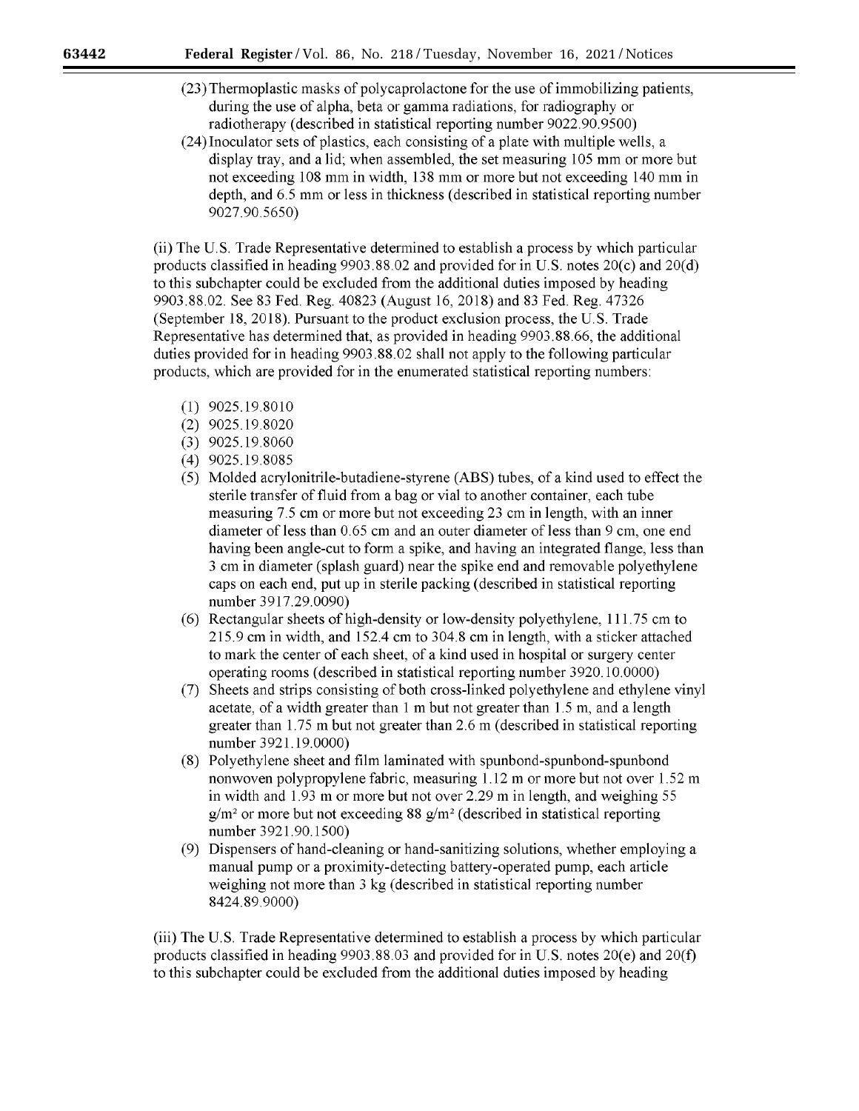- (23) Thermoplastic masks of polycaprolactone for the use of immobilizing patients, during the use of alpha, beta or gamma radiations, for radiography or radiotherapy (described in statistical reporting number 9022.90.9500)
- (24) Inoculator sets of plastics, each consisting of a plate with multiple wells, a display tray, and a lid; when assembled, the set measuring 105 mm or more but not exceeding 108 mm in width, 138 mm or more but not exceeding 140 mm in depth, and 6.5 mm or less in thickness (described in statistical reporting number 9027.90.5650)

(ii) The U.S. Trade Representative determined to establish a process by which particular products classified in heading 9903.88.02 and provided for in U.S. notes 20(c) and 20(d) to this subchapter could be excluded from the additional duties imposed by heading 9903.88.02. See 83 Fed. Reg. 40823 (August 16, 2018) and 83 Fed. Reg. 47326 (September 18, 2018). Pursuant to the product exclusion process, the U.S. Trade Representative has determined that, as provided in heading 9903.88.66, the additional duties provided for in heading 9903.88.02 shall not apply to the following particular products, which are provided for in the enumerated statistical reporting numbers:

- (1) 9025.19.8010
- (2) 9025.19.8020
- (3) 9025.19.8060
- (4) 9025.19.8085
- (5) Molded acrylonitrile-butadiene-styrene (ABS) tubes, of a kind used to effect the sterile transfer of fluid from a bag or vial to another container, each tube measuring 7.5 cm or more but not exceeding 23 cm in length, with an inner diameter of less than 0.65 cm and an outer diameter of less than 9 cm, one end having been angle-cut to form a spike, and having an integrated flange, less than 3 cm in diameter (splash guard) near the spike end and removable polyethylene caps on each end, put up in sterile packing ( described in statistical reporting number 3917.29.0090)
- (6) Rectangular sheets of high-density or low-density polyethylene, 111.75 cm to 215.9 cm in width, and 152.4 cm to 304.8 cm in length, with a sticker attached to mark the center of each sheet, of a kind used in hospital or surgery center operating rooms (described in statistical reporting number 3920.10.0000)
- (7) Sheets and strips consisting of both cross-linked polyethylene and ethylene vinyl acetate, of a width greater than 1 m but not greater than 1.5 m, and a length greater than 1.75 m but not greater than 2.6 m (described in statistical reporting number 3921.19.0000)
- (8) Polyethylene sheet and film laminated with spunbond-spunbond-spunbond nonwoven polypropylene fabric, measuring 1.12 m or more but not over 1.52 m in width and  $1.93$  m or more but not over 2.29 m in length, and weighing 55  $g/m^2$  or more but not exceeding 88  $g/m^2$  (described in statistical reporting number 3921.90.1500)
- (9) Dispensers of hand-cleaning or hand-sanitizing solutions, whether employing a manual pump or a proximity-detecting battery-operated pump, each article weighing not more than 3 kg (described in statistical reporting number 8424.89.9000)

(iii) The U.S. Trade Representative determined to establish a process by which particular products classified in heading  $9903.88.03$  and provided for in U.S. notes  $20(e)$  and  $20(f)$ to this subchapter could be excluded from the additional duties imposed by heading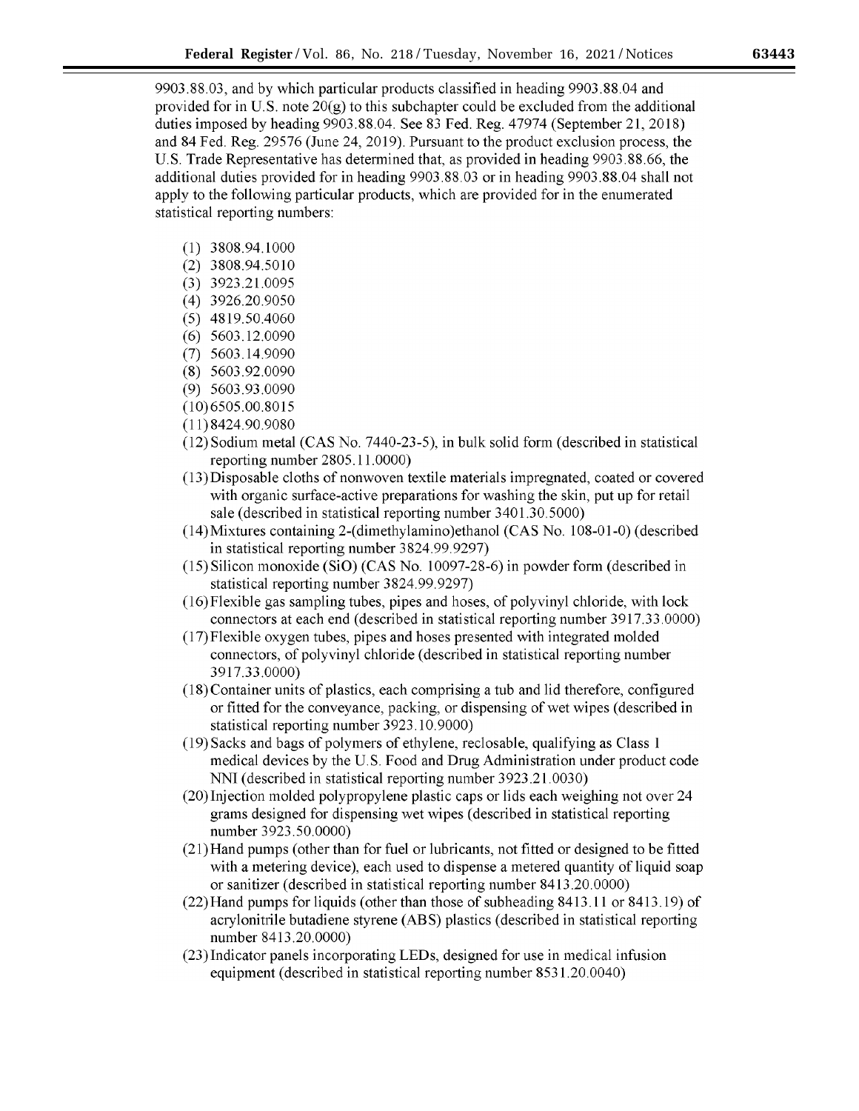9903.88.03, and by which particular products classified in heading 9903.88.04 and provided for in U.S. note  $20(g)$  to this subchapter could be excluded from the additional duties imposed by heading 9903.88.04. See 83 Fed. Reg. 47974 (September 21, 2018) and 84 Fed. Reg. 29576 (June 24, 2019). Pursuant to the product exclusion process, the U.S. Trade Representative has determined that, as provided in heading 9903.88.66, the additional duties provided for in heading 9903.88.03 or in heading 9903.88.04 shall not apply to the following particular products, which are provided for in the enumerated statistical reporting numbers:

- (1) 3808.94.1000
- (2) 3808.94.5010
- (3) 3923.21.0095
- (4) 3926.20.9050
- (5) 4819.50.4060
- (6) 5603.12.0090
- (7) 5603.14.9090
- (8) 5603.92.0090
- (9) 5603.93.0090
- (10)6505.00.8015
- (11)8424.90.9080
- (12) Sodium metal (CAS No. 7440-23-5), in bulk solid form (described in statistical reporting number 2805.11.0000)
- (13)Disposable cloths of nonwoven textile materials impregnated, coated or covered with organic surface-active preparations for washing the skin, put up for retail sale (described in statistical reporting number 3401.30.5000)
- (14)Mixtures containing 2-(dimethylamino)ethanol (CAS No. 108-01-0) (described in statistical reporting number 3824.99.9297)
- (15) Silicon monoxide (SiO) (CAS No. 10097-28-6) in powder form (described in statistical reporting number 3824.99.9297)
- (16)Flexible gas sampling tubes, pipes and hoses, of polyvinyl chloride, with lock connectors at each end (described in statistical reporting number 3917.33.0000)
- (17)Flexible oxygen tubes, pipes and hoses presented with integrated molded connectors, of polyvinyl chloride ( described in statistical reporting number 3917.33.0000)
- (18)Container units of plastics, each comprising a tub and lid therefore, configured or fitted for the conveyance, packing, or dispensing of wet wipes (described in statistical reporting number 3923.10.9000)
- (19) Sacks and bags of polymers of ethylene, reclosable, qualifying as Class 1 medical devices by the U.S. Food and Drug Administration under product code NN1 (described in statistical reporting number 3923.21.0030)
- (20)Injection molded polypropylene plastic caps or lids each weighing not over 24 grams designed for dispensing wet wipes (described in statistical reporting number 3923.50.0000)
- (21)Hand pumps (other than for fuel or lubricants, not fitted or designed to be fitted with a metering device), each used to dispense a metered quantity of liquid soap or sanitizer (described in statistical reporting number 8413.20.0000)
- (22)Hand pumps forliquids (other than those of subheading 8413.11 or 8413.19) of acrylonitrile butadiene styrene (ABS) plastics (described in statistical reporting number 8413.20.0000)
- (23)Indicator panels incorporating LEDs, designed for use in medical infusion equipment (described in statistical reporting number 8531.20.0040)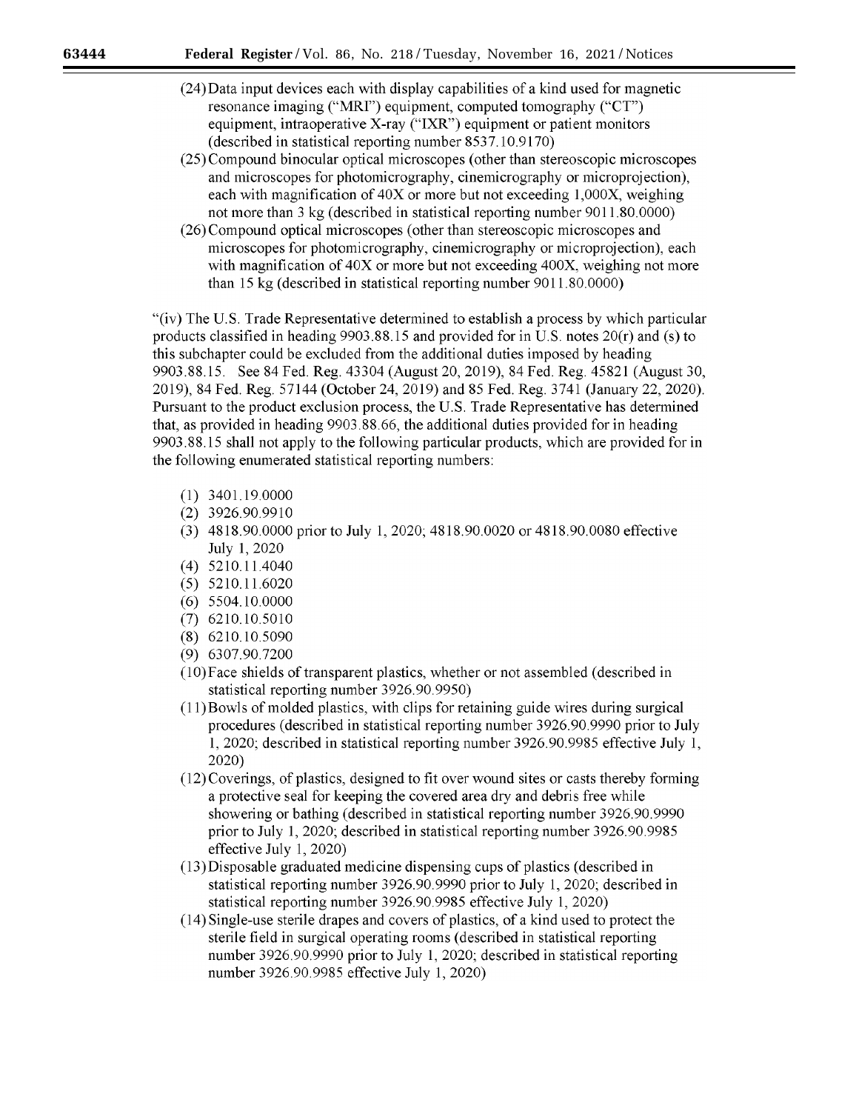- (24)Data input devices each with display capabilities of a kind used for magnetic resonance imaging ("MRf') equipment, computed tomography ("CT") equipment, intraoperative X-ray ("IXR") equipment or patient monitors (described in statistical reporting number 8537.10.9170)
- (25) Compound binocular optical microscopes ( other than stereoscopic microscopes and microscopes for photomicrography, cinemicrography or microprojection), each with magnification of 40X or more but not exceeding 1,000X, weighing not more than 3 kg (described in statistical reporting number 9011.80.0000)
- (26) Compound optical microscopes ( other than stereoscopic microscopes and microscopes for photomicrography, cinemicrography or microprojection), each with magnification of  $40X$  or more but not exceeding  $400X$ , weighing not more than 15 kg (described in statistical reporting number 9011.80.0000)

"(iv) The U.S. Trade Representative determined to establish a process by which particular products classified in heading 9903.88.15 and provided for in U.S. notes 20(r) and (s) to this subchapter could be excluded from the additional duties imposed by heading 9903.88.15. See 84 Fed. Reg. 43304 (August 20, 2019), 84 Fed. Reg. 45821 (August 30, 2019), 84 Fed. Reg. 57144 (October 24, 2019) and 85 Fed. Reg. 3741 (January 22, 2020). Pursuant to the product exclusion process, the U.S. Trade Representative has determined that, as provided in heading 9903.88.66, the additional duties provided for in heading 9903.88.15 shall not apply to the following particular products, which are provided for in the following enumerated statistical reporting numbers:

- (1) 3401.19.0000
- (2) 3926.90.9910
- (3) 4818.90.0000 prior to July 1, 2020; 4818.90.0020 or4818.90.0080 effective July 1, 2020
- (4) 5210.11.4040
- (5) 5210.11.6020
- (6) 5504.10.0000
- (7) 6210.10.5010
- (8) 6210.10.5090
- (9) 6307.90.7200
- (l0)Face shields of transparent plastics, whether or not assembled (described in statistical reporting number 3926.90.9950)
- $(11)$ Bowls of molded plastics, with clips for retaining guide wires during surgical procedures ( described in statistical reporting number 3926.90.9990 prior to July 1, 2020; described in statistical reporting number 3926.90.9985 effective July 1, 2020)
- (12) Coverings, of plastics, designed to fit over wound sites or casts thereby forming a protective seal for keeping the covered area dry and debris free while showering or bathing (described in statistical reporting number 3926.90.9990 prior to July 1, 2020; described in statistical reporting number 3926.90.9985 effective July 1, 2020)
- (13)Disposable graduated medicine dispensing cups of plastics (described in statistical reporting number 3926.90.9990 prior to July 1, 2020; described in statistical reporting number 3926.90.9985 effective July 1, 2020)
- (14) Single-use sterile drapes and covers of plastics, of a kind used to protect the sterile field in surgical operating rooms (described in statistical reporting number 3926.90.9990 prior to July 1, 2020; described in statistical reporting number 3926.90.9985 effective July 1, 2020)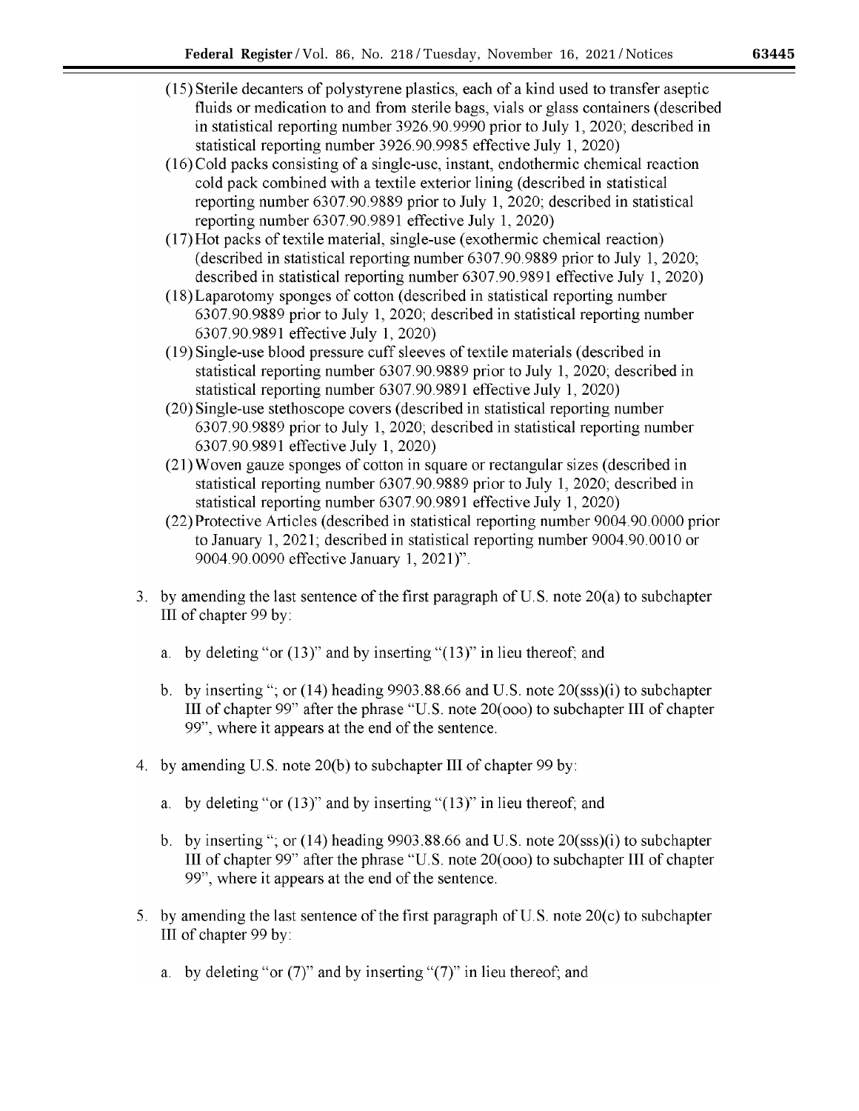- (15) Sterile decanters of polystyrene plastics, each of a kind used to transfer aseptic fluids or medication to and from sterile bags, vials or glass containers ( described in statistical reporting number 3926.90.9990 prior to July 1, 2020; described in statistical reporting number 3926.90.9985 effective July 1, 2020)
- (16)Cold packs consisting of a single-use, instant, endothermic chemical reaction cold pack combined with a textile exterior lining (described in statistical reporting number 6307.90.9889 prior to July 1, 2020; described in statistical reporting number 6307.90.9891 effective July 1, 2020)
- (17)Hot packs of textile material, single-use ( exothermic chemical reaction) (described in statistical reporting number 6307.90.9889 prior to July 1, 2020; described in statistical reporting number 6307.90.9891 effective July 1, 2020)
- (18)Laparotomy sponges of cotton (described in statistical reporting number 6307.90.9889 prior to July 1, 2020; described in statistical reporting number 6307.90.9891 effective July 1, 2020)
- ( 19) Single-use blood pressure cuff sleeves of textile materials ( described in statistical reporting number 6307.90.9889 prior to July 1, 2020; described in statistical reporting number 6307.90.9891 effective July 1, 2020)
- (20) Single-use stethoscope covers (described in statistical reporting number 6307.90.9889 prior to July 1, 2020; described in statistical reporting number 6307.90.9891 effective July 1, 2020)
- (21) Woven gauze sponges of cotton in square or rectangular sizes ( described in statistical reporting number 6307.90.9889 prior to July 1, 2020; described in statistical reporting number 6307.90.9891 effective July 1, 2020)
- (22) Protective Articles (described in statistical reporting number 9004.90.0000 prior to January 1, 2021; described in statistical reporting number 9004.90.0010 or 9004.90.0090 effective January 1, 2021)".
- 3. by amending the last sentence of the first paragraph of U.S. note 20(a) to subchapter III of chapter 99 by:
	- a. by deleting "or (13)" and by inserting "(13)" in lieu thereof; and
	- b. by inserting "; or  $(14)$  heading 9903.88.66 and U.S. note  $20$ (sss)(i) to subchapter III of chapter 99" after the phrase "U.S. note  $20(000)$  to subchapter III of chapter 99", where it appears at the end of the sentence.
- 4. by amending U.S. note 20(b) to subchapter III of chapter 99 by:
	- a. by deleting "or  $(13)$ " and by inserting " $(13)$ " in lieu thereof; and
	- b. by inserting "; or  $(14)$  heading 9903.88.66 and U.S. note  $20$ (sss)(i) to subchapter III of chapter 99" after the phrase "U.S. note 20( ooo) to subchapter III of chapter 99", where it appears at the end of the sentence.
- 5. by amending the last sentence of the first paragraph of U.S. note 20(c) to subchapter III of chapter 99 by:
	- a. by deleting "or  $(7)$ " and by inserting " $(7)$ " in lieu thereof; and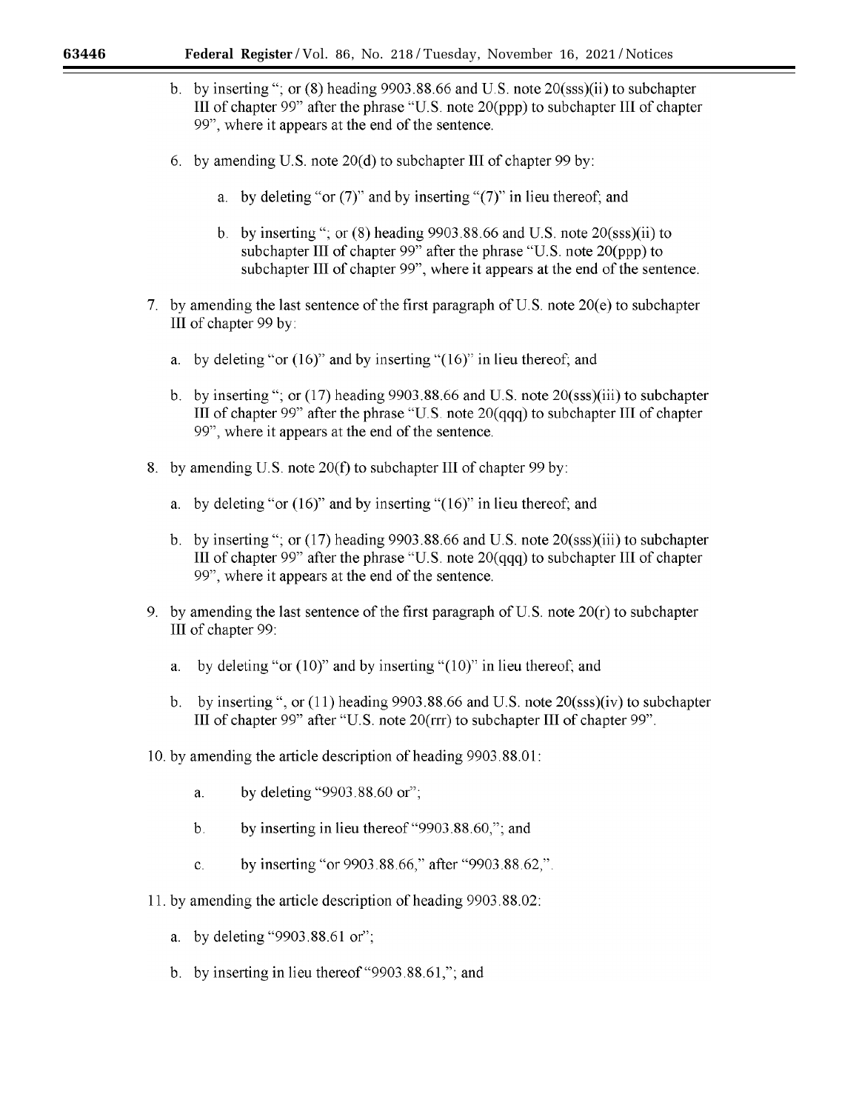- b. by inserting"; or (8) heading 9903.88.66 and U.S. note 20(sss)(ii) to subchapter III of chapter  $99$ " after the phrase "U.S. note  $20(ppp)$  to subchapter III of chapter 99", where it appears at the end of the sentence.
- 6. by amending U.S. note 20(d) to subchapter III of chapter 99 by:
	- a. by deleting "or  $(7)$ " and by inserting " $(7)$ " in lieu thereof; and
	- b. by inserting"; or (8) heading 9903.88.66 and U.S. note 20(sss)(ii) to sub chapter III of chapter 99" after the phrase "U.S. note 20(ppp) to subchapter III of chapter 99", where it appears at the end of the sentence.
- 7. by amending the last sentence of the first paragraph of U.S. note 20(e) to subchapter III of chapter 99 by:
	- a. by deleting "or (16)" and by inserting "(16)" in lieu thereof; and
	- b. by inserting"; or (17) heading 9903.88.66 and U.S. note 20(sss)(iii) to subchapter III of chapter 99" after the phrase "U.S. note 20(qqq) to subchapter III of chapter 99", where it appears at the end of the sentence.
- 8. by amending U.S. note 20(f) to subchapter III of chapter 99 by:
	- a. by deleting "or (16)" and by inserting "(16)" in lieu thereof; and
	- b. by inserting"; or (17) heading 9903.88.66 and U.S. note 20(sss)(iii) to subchapter III of chapter 99" after the phrase "U.S. note 20(qqq) to subchapter III of chapter 99", where it appears at the end of the sentence.
- 9. by amending the last sentence of the first paragraph of U.S. note  $20(r)$  to subchapter III of chapter 99:
	- a. by deleting "or (10)" and by inserting "(10)" in lieu thereof; and
	- b. by inserting ", or  $(11)$  heading 9903.88.66 and U.S. note  $20$ (sss)(iv) to subchapter III of chapter 99" after "U.S. note 20(rrr) to subchapter III of chapter 99".
- 10. by amending the article description of heading 9903.88.01:
	- a. by deleting "9903.88.60 or'';
	- b. by inserting in lieu thereof "9903.88.60,"; and
	- c. by inserting "or 9903.88.66," after "9903.88.62,".
- 11. by amending the article description of heading 9903.88.02:
	- a. by deleting "9903.88.61 or";
	- b. by inserting in lieu thereof"9903.88.61,"; and